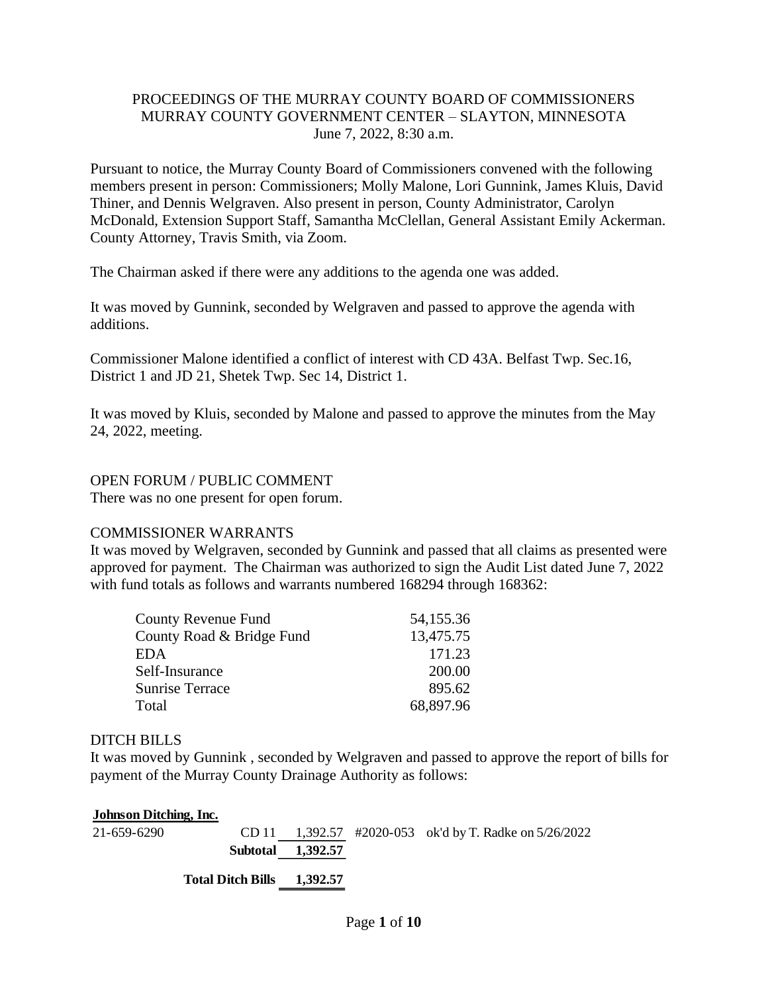## PROCEEDINGS OF THE MURRAY COUNTY BOARD OF COMMISSIONERS MURRAY COUNTY GOVERNMENT CENTER – SLAYTON, MINNESOTA June 7, 2022, 8:30 a.m.

Pursuant to notice, the Murray County Board of Commissioners convened with the following members present in person: Commissioners; Molly Malone, Lori Gunnink, James Kluis, David Thiner, and Dennis Welgraven. Also present in person, County Administrator, Carolyn McDonald, Extension Support Staff, Samantha McClellan, General Assistant Emily Ackerman. County Attorney, Travis Smith, via Zoom.

The Chairman asked if there were any additions to the agenda one was added.

It was moved by Gunnink, seconded by Welgraven and passed to approve the agenda with additions.

Commissioner Malone identified a conflict of interest with CD 43A. Belfast Twp. Sec.16, District 1 and JD 21, Shetek Twp. Sec 14, District 1.

It was moved by Kluis, seconded by Malone and passed to approve the minutes from the May 24, 2022, meeting.

### OPEN FORUM / PUBLIC COMMENT

There was no one present for open forum.

#### COMMISSIONER WARRANTS

It was moved by Welgraven, seconded by Gunnink and passed that all claims as presented were approved for payment. The Chairman was authorized to sign the Audit List dated June 7, 2022 with fund totals as follows and warrants numbered 168294 through 168362:

| County Revenue Fund       | 54,155.36 |
|---------------------------|-----------|
| County Road & Bridge Fund | 13,475.75 |
| EDA                       | 171.23    |
| Self-Insurance            | 200.00    |
| <b>Sunrise Terrace</b>    | 895.62    |
| Total                     | 68,897.96 |

#### DITCH BILLS

It was moved by Gunnink , seconded by Welgraven and passed to approve the report of bills for payment of the Murray County Drainage Authority as follows:

| <b>Johnson Ditching, Inc.</b> |                            |                   |                                                          |
|-------------------------------|----------------------------|-------------------|----------------------------------------------------------|
| 21-659-6290                   |                            |                   | CD 11 1,392.57 #2020-053 ok'd by T. Radke on $5/26/2022$ |
|                               |                            | Subtotal 1,392.57 |                                                          |
|                               | Total Ditch Bills 1.392.57 |                   |                                                          |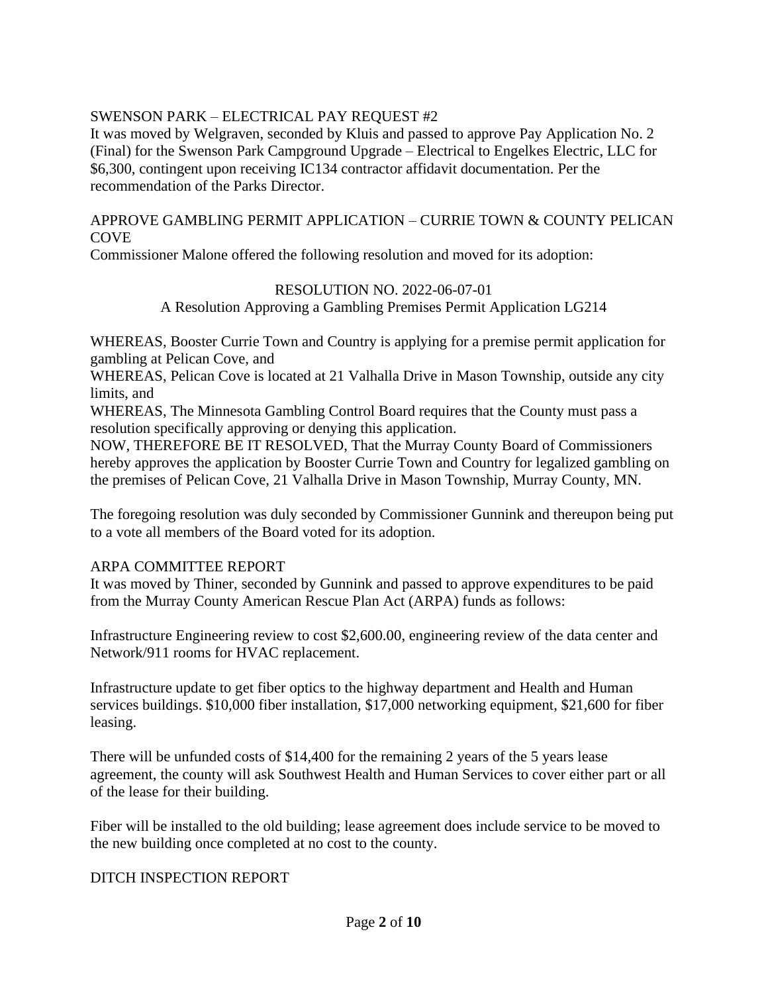# SWENSON PARK – ELECTRICAL PAY REQUEST #2

It was moved by Welgraven, seconded by Kluis and passed to approve Pay Application No. 2 (Final) for the Swenson Park Campground Upgrade – Electrical to Engelkes Electric, LLC for \$6,300, contingent upon receiving IC134 contractor affidavit documentation. Per the recommendation of the Parks Director.

# APPROVE GAMBLING PERMIT APPLICATION – CURRIE TOWN & COUNTY PELICAN **COVE**

Commissioner Malone offered the following resolution and moved for its adoption:

### RESOLUTION NO. 2022-06-07-01

A Resolution Approving a Gambling Premises Permit Application LG214

WHEREAS, Booster Currie Town and Country is applying for a premise permit application for gambling at Pelican Cove, and

WHEREAS, Pelican Cove is located at 21 Valhalla Drive in Mason Township, outside any city limits, and

WHEREAS, The Minnesota Gambling Control Board requires that the County must pass a resolution specifically approving or denying this application.

NOW, THEREFORE BE IT RESOLVED, That the Murray County Board of Commissioners hereby approves the application by Booster Currie Town and Country for legalized gambling on the premises of Pelican Cove, 21 Valhalla Drive in Mason Township, Murray County, MN.

The foregoing resolution was duly seconded by Commissioner Gunnink and thereupon being put to a vote all members of the Board voted for its adoption.

#### ARPA COMMITTEE REPORT

It was moved by Thiner, seconded by Gunnink and passed to approve expenditures to be paid from the Murray County American Rescue Plan Act (ARPA) funds as follows:

Infrastructure Engineering review to cost \$2,600.00, engineering review of the data center and Network/911 rooms for HVAC replacement.

Infrastructure update to get fiber optics to the highway department and Health and Human services buildings. \$10,000 fiber installation, \$17,000 networking equipment, \$21,600 for fiber leasing.

There will be unfunded costs of \$14,400 for the remaining 2 years of the 5 years lease agreement, the county will ask Southwest Health and Human Services to cover either part or all of the lease for their building.

Fiber will be installed to the old building; lease agreement does include service to be moved to the new building once completed at no cost to the county.

#### DITCH INSPECTION REPORT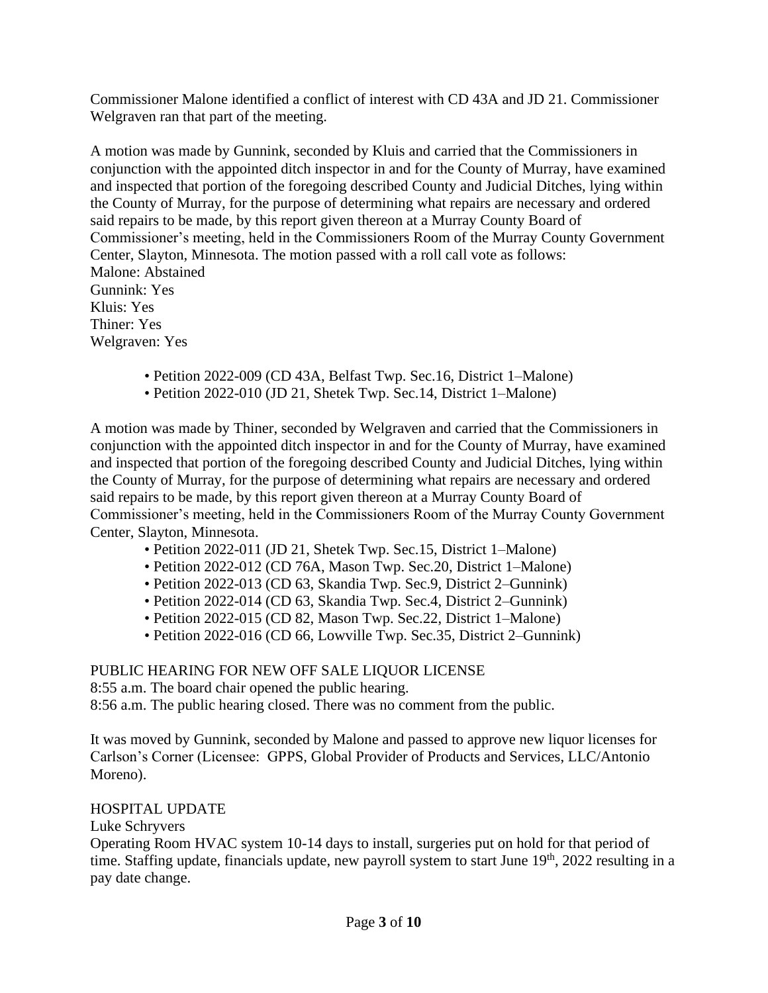Commissioner Malone identified a conflict of interest with CD 43A and JD 21. Commissioner Welgraven ran that part of the meeting.

A motion was made by Gunnink, seconded by Kluis and carried that the Commissioners in conjunction with the appointed ditch inspector in and for the County of Murray, have examined and inspected that portion of the foregoing described County and Judicial Ditches, lying within the County of Murray, for the purpose of determining what repairs are necessary and ordered said repairs to be made, by this report given thereon at a Murray County Board of Commissioner's meeting, held in the Commissioners Room of the Murray County Government Center, Slayton, Minnesota. The motion passed with a roll call vote as follows: Malone: Abstained Gunnink: Yes Kluis: Yes Thiner: Yes Welgraven: Yes

- Petition 2022-009 (CD 43A, Belfast Twp. Sec.16, District 1–Malone)
- Petition 2022-010 (JD 21, Shetek Twp. Sec.14, District 1–Malone)

A motion was made by Thiner, seconded by Welgraven and carried that the Commissioners in conjunction with the appointed ditch inspector in and for the County of Murray, have examined and inspected that portion of the foregoing described County and Judicial Ditches, lying within the County of Murray, for the purpose of determining what repairs are necessary and ordered said repairs to be made, by this report given thereon at a Murray County Board of Commissioner's meeting, held in the Commissioners Room of the Murray County Government Center, Slayton, Minnesota.

- Petition 2022-011 (JD 21, Shetek Twp. Sec.15, District 1–Malone)
- Petition 2022-012 (CD 76A, Mason Twp. Sec.20, District 1–Malone)
- Petition 2022-013 (CD 63, Skandia Twp. Sec.9, District 2–Gunnink)
- Petition 2022-014 (CD 63, Skandia Twp. Sec.4, District 2–Gunnink)
- Petition 2022-015 (CD 82, Mason Twp. Sec.22, District 1–Malone)
- Petition 2022-016 (CD 66, Lowville Twp. Sec.35, District 2–Gunnink)

# PUBLIC HEARING FOR NEW OFF SALE LIQUOR LICENSE

8:55 a.m. The board chair opened the public hearing.

8:56 a.m. The public hearing closed. There was no comment from the public.

It was moved by Gunnink, seconded by Malone and passed to approve new liquor licenses for Carlson's Corner (Licensee: GPPS, Global Provider of Products and Services, LLC/Antonio Moreno).

# HOSPITAL UPDATE

Luke Schryvers

Operating Room HVAC system 10-14 days to install, surgeries put on hold for that period of time. Staffing update, financials update, new payroll system to start June 19<sup>th</sup>, 2022 resulting in a pay date change.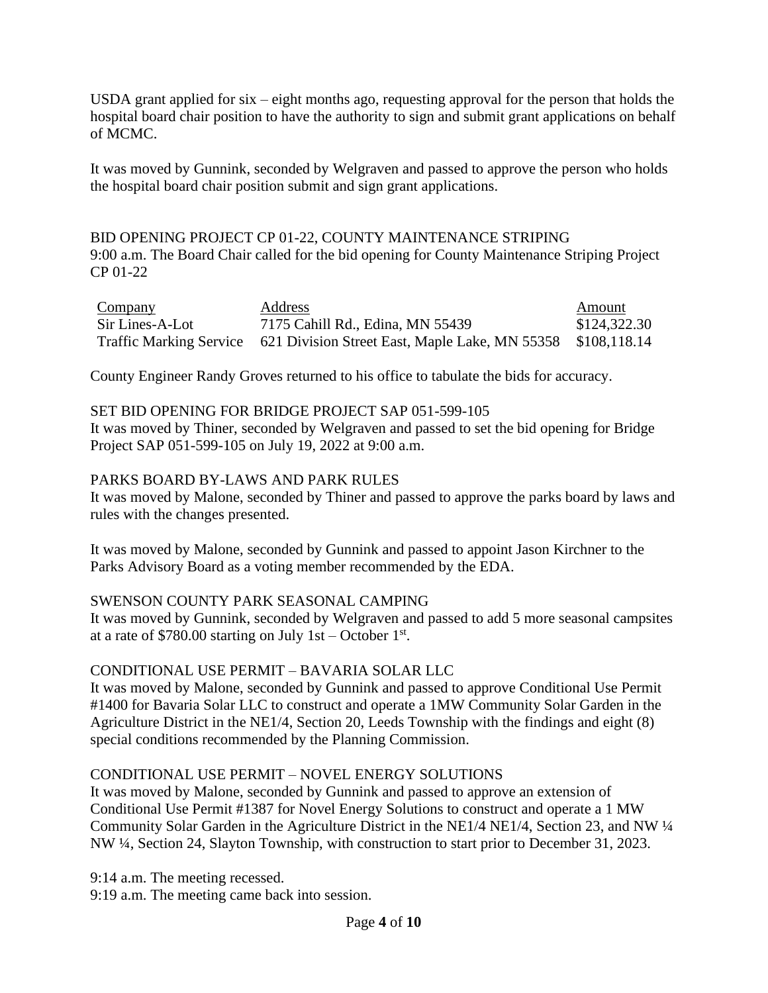USDA grant applied for six – eight months ago, requesting approval for the person that holds the hospital board chair position to have the authority to sign and submit grant applications on behalf of MCMC.

It was moved by Gunnink, seconded by Welgraven and passed to approve the person who holds the hospital board chair position submit and sign grant applications.

# BID OPENING PROJECT CP 01-22, COUNTY MAINTENANCE STRIPING 9:00 a.m. The Board Chair called for the bid opening for County Maintenance Striping Project CP 01-22

| Company         | <b>Address</b>                                                                      | Amount       |
|-----------------|-------------------------------------------------------------------------------------|--------------|
| Sir Lines-A-Lot | 7175 Cahill Rd., Edina, MN 55439                                                    | \$124,322.30 |
|                 | Traffic Marking Service 621 Division Street East, Maple Lake, MN 55358 \$108,118.14 |              |

County Engineer Randy Groves returned to his office to tabulate the bids for accuracy.

# SET BID OPENING FOR BRIDGE PROJECT SAP 051-599-105

It was moved by Thiner, seconded by Welgraven and passed to set the bid opening for Bridge Project SAP 051-599-105 on July 19, 2022 at 9:00 a.m.

### PARKS BOARD BY-LAWS AND PARK RULES

It was moved by Malone, seconded by Thiner and passed to approve the parks board by laws and rules with the changes presented.

It was moved by Malone, seconded by Gunnink and passed to appoint Jason Kirchner to the Parks Advisory Board as a voting member recommended by the EDA.

# SWENSON COUNTY PARK SEASONAL CAMPING

It was moved by Gunnink, seconded by Welgraven and passed to add 5 more seasonal campsites at a rate of \$780.00 starting on July 1st – October  $1<sup>st</sup>$ .

# CONDITIONAL USE PERMIT – BAVARIA SOLAR LLC

It was moved by Malone, seconded by Gunnink and passed to approve Conditional Use Permit #1400 for Bavaria Solar LLC to construct and operate a 1MW Community Solar Garden in the Agriculture District in the NE1/4, Section 20, Leeds Township with the findings and eight (8) special conditions recommended by the Planning Commission.

# CONDITIONAL USE PERMIT – NOVEL ENERGY SOLUTIONS

It was moved by Malone, seconded by Gunnink and passed to approve an extension of Conditional Use Permit #1387 for Novel Energy Solutions to construct and operate a 1 MW Community Solar Garden in the Agriculture District in the NE1/4 NE1/4, Section 23, and NW ¼ NW ¼, Section 24, Slayton Township, with construction to start prior to December 31, 2023.

9:14 a.m. The meeting recessed. 9:19 a.m. The meeting came back into session.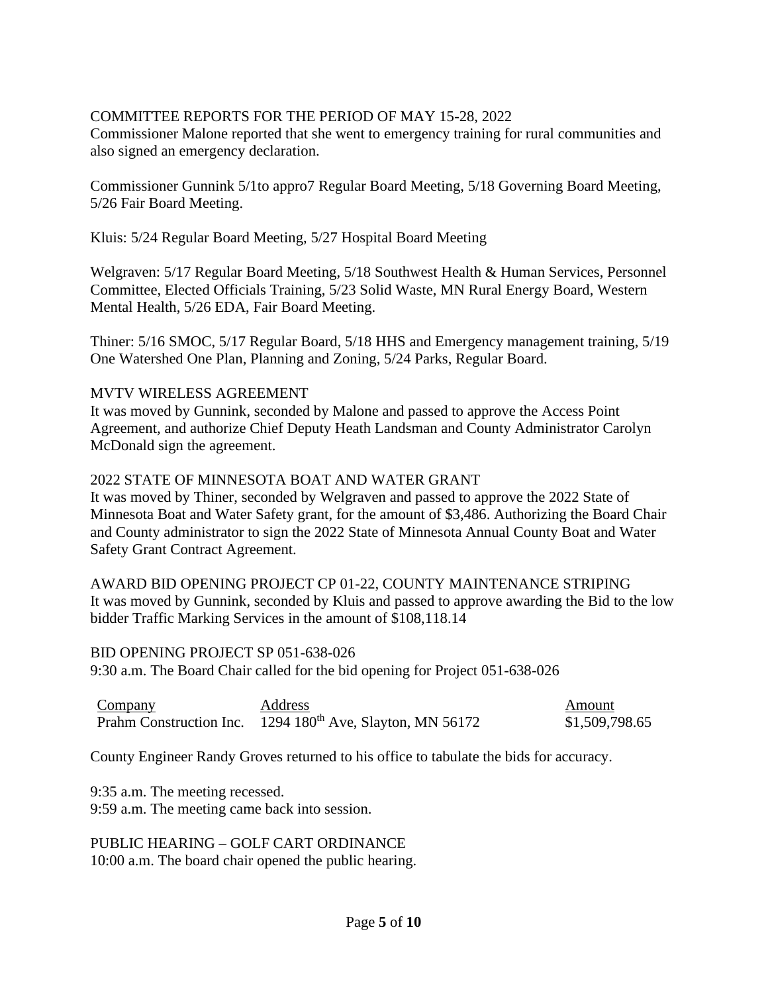# COMMITTEE REPORTS FOR THE PERIOD OF MAY 15-28, 2022

Commissioner Malone reported that she went to emergency training for rural communities and also signed an emergency declaration.

Commissioner Gunnink 5/1to appro7 Regular Board Meeting, 5/18 Governing Board Meeting, 5/26 Fair Board Meeting.

Kluis: 5/24 Regular Board Meeting, 5/27 Hospital Board Meeting

Welgraven: 5/17 Regular Board Meeting, 5/18 Southwest Health & Human Services, Personnel Committee, Elected Officials Training, 5/23 Solid Waste, MN Rural Energy Board, Western Mental Health, 5/26 EDA, Fair Board Meeting.

Thiner: 5/16 SMOC, 5/17 Regular Board, 5/18 HHS and Emergency management training, 5/19 One Watershed One Plan, Planning and Zoning, 5/24 Parks, Regular Board.

# MVTV WIRELESS AGREEMENT

It was moved by Gunnink, seconded by Malone and passed to approve the Access Point Agreement, and authorize Chief Deputy Heath Landsman and County Administrator Carolyn McDonald sign the agreement.

### 2022 STATE OF MINNESOTA BOAT AND WATER GRANT

It was moved by Thiner, seconded by Welgraven and passed to approve the 2022 State of Minnesota Boat and Water Safety grant, for the amount of \$3,486. Authorizing the Board Chair and County administrator to sign the 2022 State of Minnesota Annual County Boat and Water Safety Grant Contract Agreement.

AWARD BID OPENING PROJECT CP 01-22, COUNTY MAINTENANCE STRIPING It was moved by Gunnink, seconded by Kluis and passed to approve awarding the Bid to the low bidder Traffic Marking Services in the amount of \$108,118.14

BID OPENING PROJECT SP 051-638-026 9:30 a.m. The Board Chair called for the bid opening for Project 051-638-026

| <b>Company</b> | <b>Address</b>                                                        | Amount         |
|----------------|-----------------------------------------------------------------------|----------------|
|                | Prahm Construction Inc. 1294 180 <sup>th</sup> Ave, Slayton, MN 56172 | \$1,509,798.65 |

County Engineer Randy Groves returned to his office to tabulate the bids for accuracy.

9:35 a.m. The meeting recessed. 9:59 a.m. The meeting came back into session.

PUBLIC HEARING – GOLF CART ORDINANCE 10:00 a.m. The board chair opened the public hearing.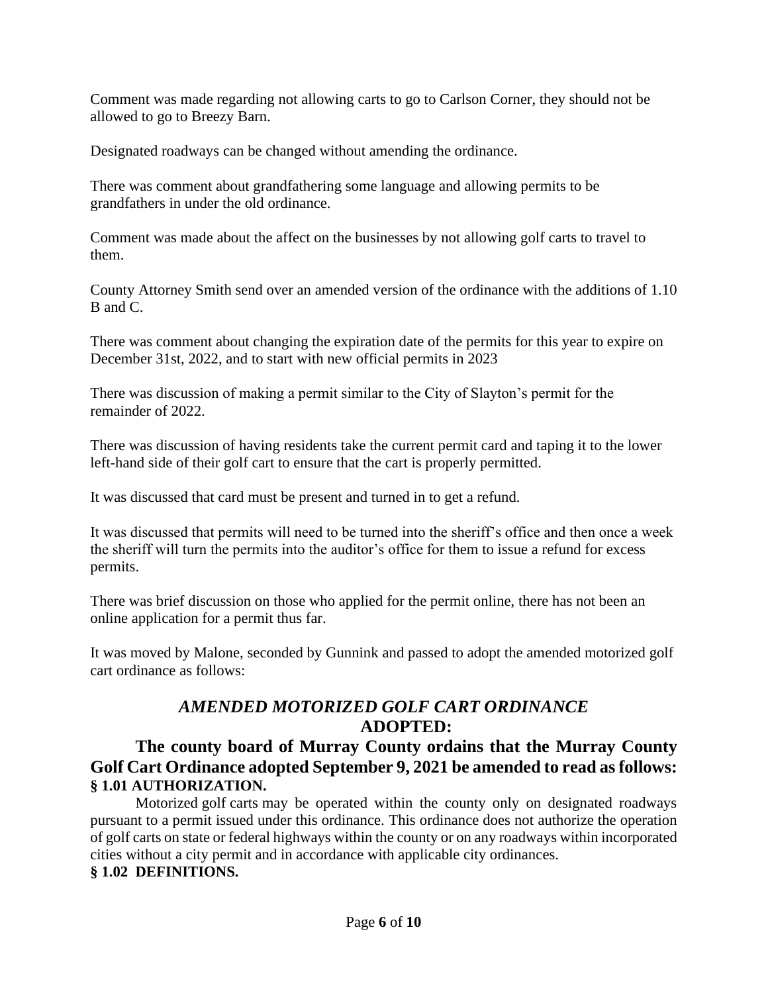Comment was made regarding not allowing carts to go to Carlson Corner, they should not be allowed to go to Breezy Barn.

Designated roadways can be changed without amending the ordinance.

There was comment about grandfathering some language and allowing permits to be grandfathers in under the old ordinance.

Comment was made about the affect on the businesses by not allowing golf carts to travel to them.

County Attorney Smith send over an amended version of the ordinance with the additions of 1.10 B and C.

There was comment about changing the expiration date of the permits for this year to expire on December 31st, 2022, and to start with new official permits in 2023

There was discussion of making a permit similar to the City of Slayton's permit for the remainder of 2022.

There was discussion of having residents take the current permit card and taping it to the lower left-hand side of their golf cart to ensure that the cart is properly permitted.

It was discussed that card must be present and turned in to get a refund.

It was discussed that permits will need to be turned into the sheriff's office and then once a week the sheriff will turn the permits into the auditor's office for them to issue a refund for excess permits.

There was brief discussion on those who applied for the permit online, there has not been an online application for a permit thus far.

It was moved by Malone, seconded by Gunnink and passed to adopt the amended motorized golf cart ordinance as follows:

# *AMENDED MOTORIZED GOLF CART ORDINANCE* **ADOPTED:**

# **The county board of Murray County ordains that the Murray County Golf Cart Ordinance adopted September 9, 2021 be amended to read as follows: § 1.01 AUTHORIZATION.**

Motorized golf carts may be operated within the county only on designated roadways pursuant to a permit issued under this ordinance. This ordinance does not authorize the operation of golf carts on state or federal highways within the county or on any roadways within incorporated cities without a city permit and in accordance with applicable city ordinances. **§ 1.02 DEFINITIONS.**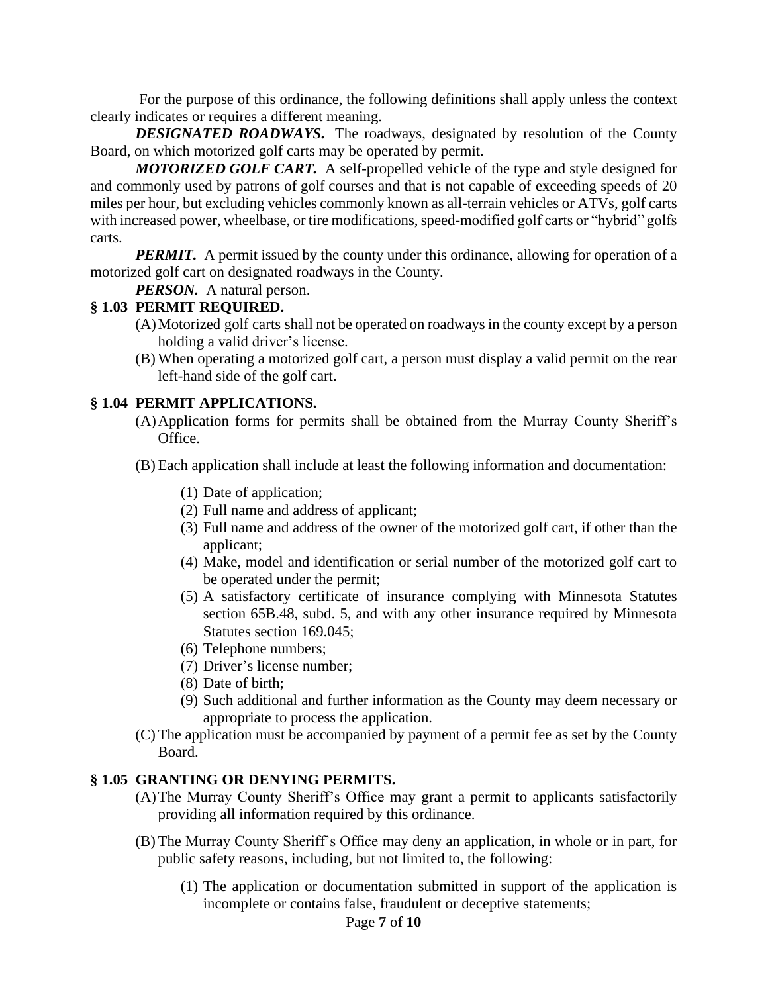For the purpose of this ordinance, the following definitions shall apply unless the context clearly indicates or requires a different meaning.

**DESIGNATED ROADWAYS.** The roadways, designated by resolution of the County Board, on which motorized golf carts may be operated by permit.

 *MOTORIZED GOLF CART.* A self-propelled vehicle of the type and style designed for and commonly used by patrons of golf courses and that is not capable of exceeding speeds of 20 miles per hour, but excluding vehicles commonly known as all-terrain vehicles or ATVs, golf carts with increased power, wheelbase, or tire modifications, speed-modified golf carts or "hybrid" golfs carts.

*PERMIT.* A permit issued by the county under this ordinance, allowing for operation of a motorized golf cart on designated roadways in the County.

*PERSON.* A natural person.

### **§ 1.03 PERMIT REQUIRED.**

- (A)Motorized golf carts shall not be operated on roadways in the county except by a person holding a valid driver's license.
- (B) When operating a motorized golf cart, a person must display a valid permit on the rear left-hand side of the golf cart.

### **§ 1.04 PERMIT APPLICATIONS.**

- (A)Application forms for permits shall be obtained from the Murray County Sheriff's Office.
- (B) Each application shall include at least the following information and documentation:
	- (1) Date of application;
	- (2) Full name and address of applicant;
	- (3) Full name and address of the owner of the motorized golf cart, if other than the applicant;
	- (4) Make, model and identification or serial number of the motorized golf cart to be operated under the permit;
	- (5) A satisfactory certificate of insurance complying with Minnesota Statutes section 65B.48, subd. 5, and with any other insurance required by Minnesota Statutes section 169.045;
	- (6) Telephone numbers;
	- (7) Driver's license number;
	- (8) Date of birth;
	- (9) Such additional and further information as the County may deem necessary or appropriate to process the application.
- (C) The application must be accompanied by payment of a permit fee as set by the County Board.

### **§ 1.05 GRANTING OR DENYING PERMITS.**

- (A)The Murray County Sheriff's Office may grant a permit to applicants satisfactorily providing all information required by this ordinance.
- (B) The Murray County Sheriff's Office may deny an application, in whole or in part, for public safety reasons, including, but not limited to, the following:
	- (1) The application or documentation submitted in support of the application is incomplete or contains false, fraudulent or deceptive statements;

#### Page **7** of **10**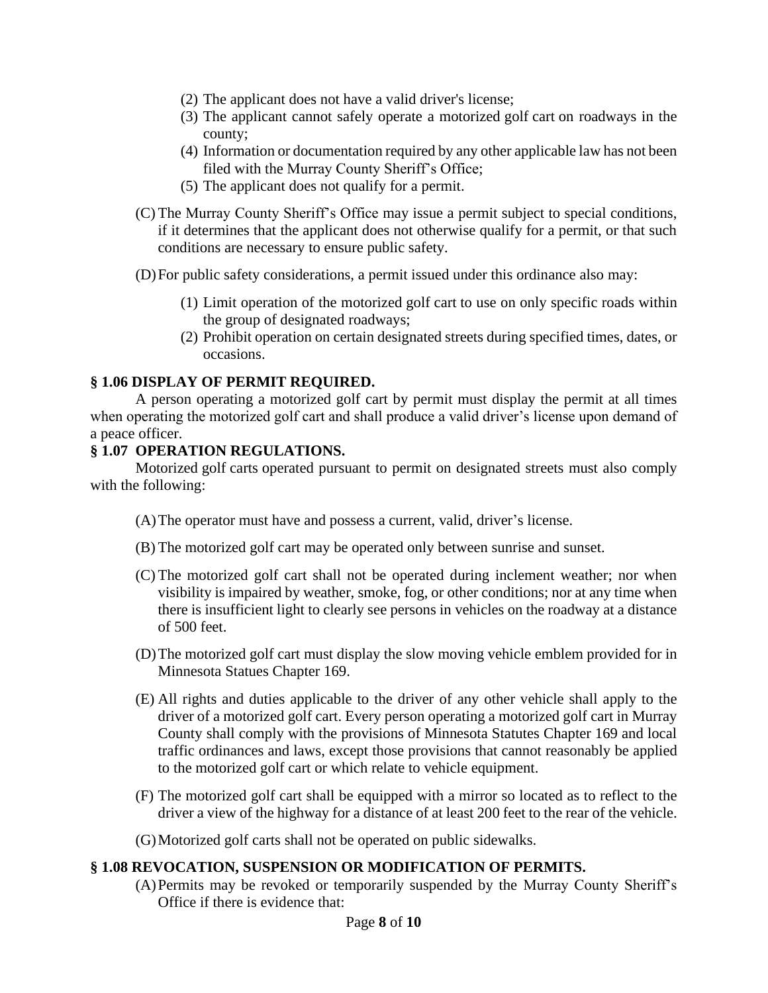- (2) The applicant does not have a valid driver's license;
- (3) The applicant cannot safely operate a motorized golf cart on roadways in the county;
- (4) Information or documentation required by any other applicable law has not been filed with the Murray County Sheriff's Office;
- (5) The applicant does not qualify for a permit.
- (C) The Murray County Sheriff's Office may issue a permit subject to special conditions, if it determines that the applicant does not otherwise qualify for a permit, or that such conditions are necessary to ensure public safety.
- (D)For public safety considerations, a permit issued under this ordinance also may:
	- (1) Limit operation of the motorized golf cart to use on only specific roads within the group of designated roadways;
	- (2) Prohibit operation on certain designated streets during specified times, dates, or occasions.

### **§ 1.06 DISPLAY OF PERMIT REQUIRED.**

A person operating a motorized golf cart by permit must display the permit at all times when operating the motorized golf cart and shall produce a valid driver's license upon demand of a peace officer.

### **§ 1.07 OPERATION REGULATIONS.**

Motorized golf carts operated pursuant to permit on designated streets must also comply with the following:

- (A)The operator must have and possess a current, valid, driver's license.
- (B) The motorized golf cart may be operated only between sunrise and sunset.
- (C) The motorized golf cart shall not be operated during inclement weather; nor when visibility is impaired by weather, smoke, fog, or other conditions; nor at any time when there is insufficient light to clearly see persons in vehicles on the roadway at a distance of 500 feet.
- (D)The motorized golf cart must display the slow moving vehicle emblem provided for in Minnesota Statues Chapter 169.
- (E) All rights and duties applicable to the driver of any other vehicle shall apply to the driver of a motorized golf cart. Every person operating a motorized golf cart in Murray County shall comply with the provisions of Minnesota Statutes Chapter 169 and local traffic ordinances and laws, except those provisions that cannot reasonably be applied to the motorized golf cart or which relate to vehicle equipment.
- (F) The motorized golf cart shall be equipped with a mirror so located as to reflect to the driver a view of the highway for a distance of at least 200 feet to the rear of the vehicle.
- (G)Motorized golf carts shall not be operated on public sidewalks.

#### **§ 1.08 REVOCATION, SUSPENSION OR MODIFICATION OF PERMITS.**

(A)Permits may be revoked or temporarily suspended by the Murray County Sheriff's Office if there is evidence that: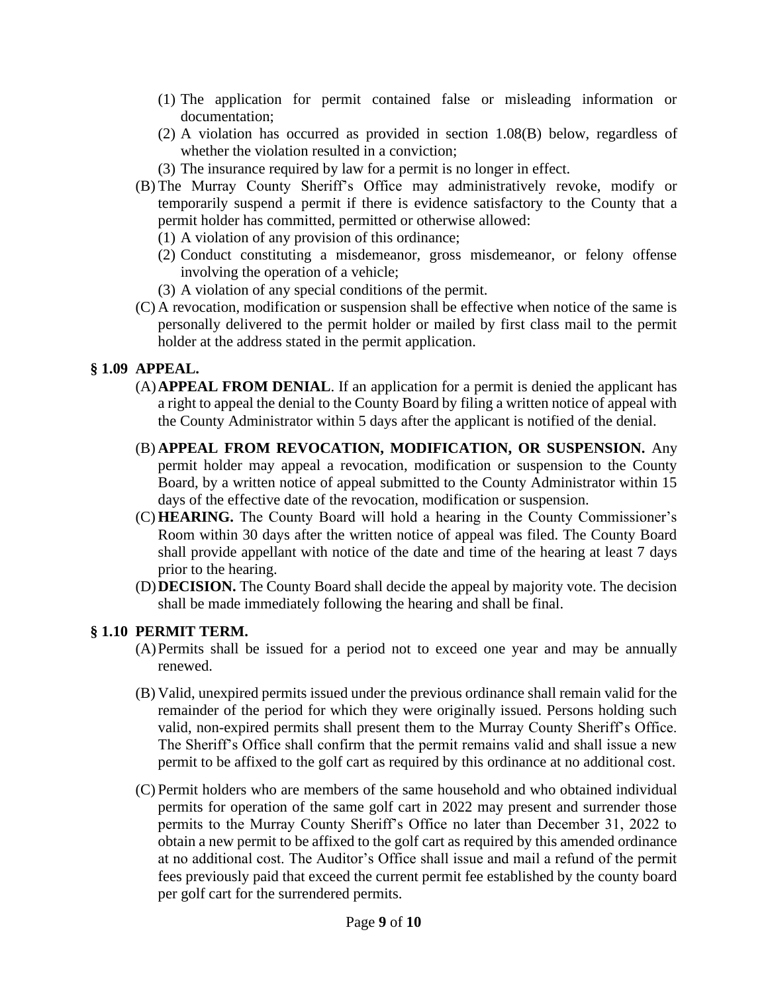- (1) The application for permit contained false or misleading information or documentation;
- (2) A violation has occurred as provided in section 1.08(B) below, regardless of whether the violation resulted in a conviction;
- (3) The insurance required by law for a permit is no longer in effect.
- (B) The Murray County Sheriff's Office may administratively revoke, modify or temporarily suspend a permit if there is evidence satisfactory to the County that a permit holder has committed, permitted or otherwise allowed:
	- (1) A violation of any provision of this ordinance;
	- (2) Conduct constituting a misdemeanor, gross misdemeanor, or felony offense involving the operation of a vehicle;
	- (3) A violation of any special conditions of the permit.
- (C) A revocation, modification or suspension shall be effective when notice of the same is personally delivered to the permit holder or mailed by first class mail to the permit holder at the address stated in the permit application.

# **§ 1.09 APPEAL.**

- (A)**APPEAL FROM DENIAL**. If an application for a permit is denied the applicant has a right to appeal the denial to the County Board by filing a written notice of appeal with the County Administrator within 5 days after the applicant is notified of the denial.
- (B) **APPEAL FROM REVOCATION, MODIFICATION, OR SUSPENSION.** Any permit holder may appeal a revocation, modification or suspension to the County Board, by a written notice of appeal submitted to the County Administrator within 15 days of the effective date of the revocation, modification or suspension.
- (C) **HEARING.** The County Board will hold a hearing in the County Commissioner's Room within 30 days after the written notice of appeal was filed. The County Board shall provide appellant with notice of the date and time of the hearing at least 7 days prior to the hearing.
- (D)**DECISION.** The County Board shall decide the appeal by majority vote. The decision shall be made immediately following the hearing and shall be final.

# **§ 1.10 PERMIT TERM.**

- (A)Permits shall be issued for a period not to exceed one year and may be annually renewed.
- (B) Valid, unexpired permits issued under the previous ordinance shall remain valid for the remainder of the period for which they were originally issued. Persons holding such valid, non-expired permits shall present them to the Murray County Sheriff's Office. The Sheriff's Office shall confirm that the permit remains valid and shall issue a new permit to be affixed to the golf cart as required by this ordinance at no additional cost.
- (C) Permit holders who are members of the same household and who obtained individual permits for operation of the same golf cart in 2022 may present and surrender those permits to the Murray County Sheriff's Office no later than December 31, 2022 to obtain a new permit to be affixed to the golf cart as required by this amended ordinance at no additional cost. The Auditor's Office shall issue and mail a refund of the permit fees previously paid that exceed the current permit fee established by the county board per golf cart for the surrendered permits.